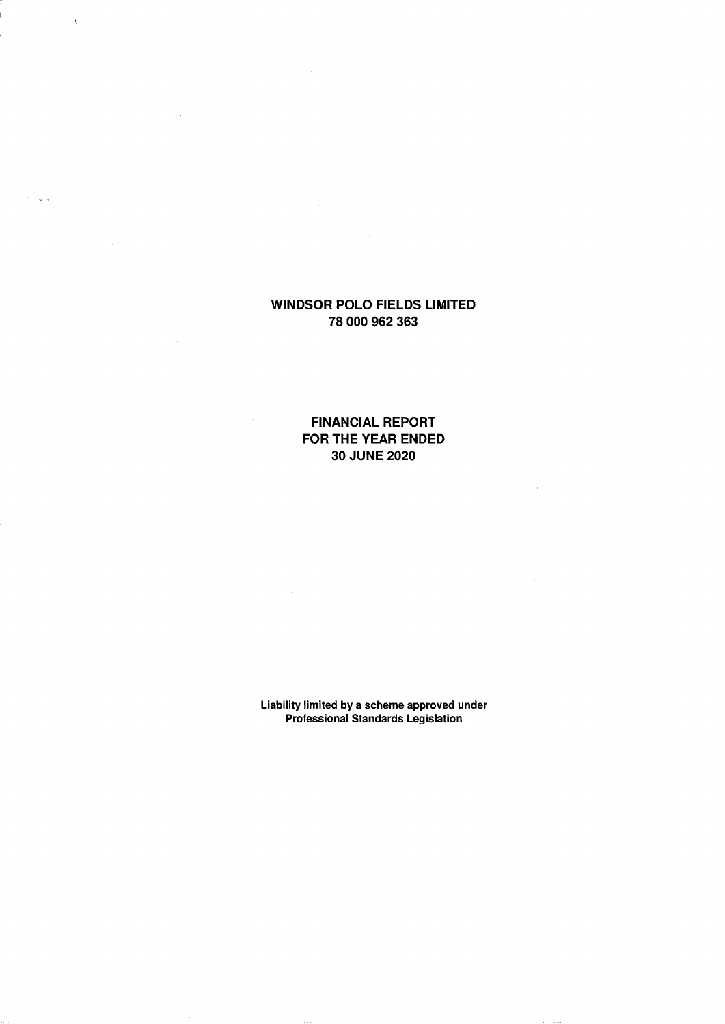$\lambda$ 

 $\alpha$  ,  $\alpha$ 

**FINANCIAL REPORT FOR THE YEAR ENDED 30 JUNE 2020** 

**Liability limited by a scheme approved under Professional Standards Legislation**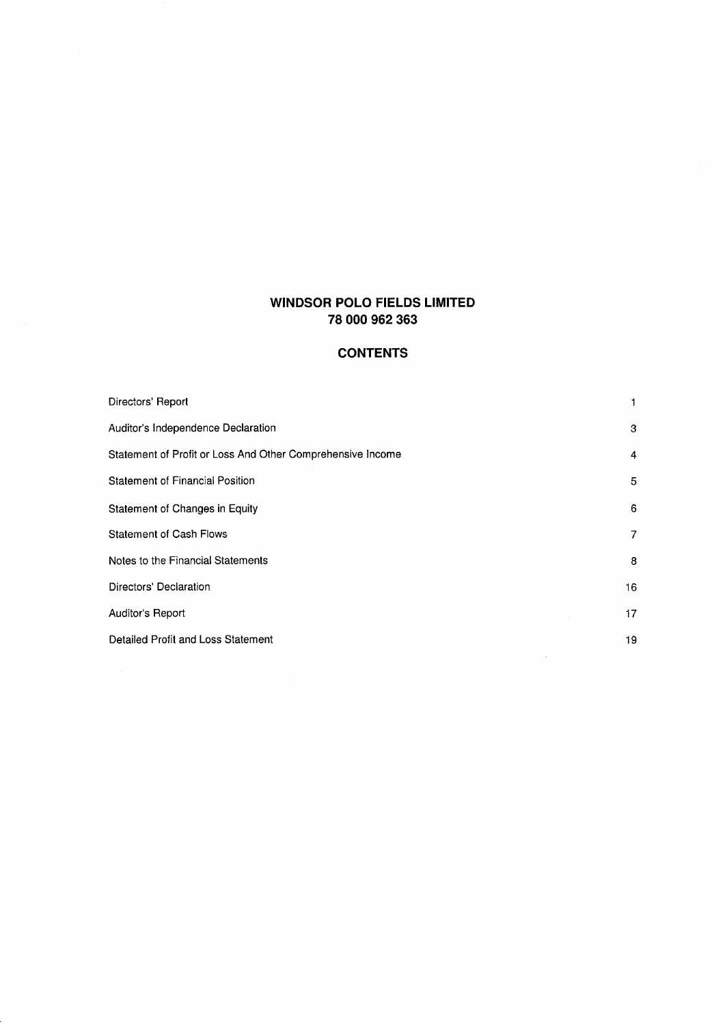## **CONTENTS**

| Directors' Report                                          |                |
|------------------------------------------------------------|----------------|
| Auditor's Independence Declaration                         | 3              |
| Statement of Profit or Loss And Other Comprehensive Income | $\overline{4}$ |
| <b>Statement of Financial Position</b>                     | 5              |
| Statement of Changes in Equity                             | 6              |
| <b>Statement of Cash Flows</b>                             | 7              |
| Notes to the Financial Statements                          | 8              |
| Directors' Declaration                                     | 16             |
| <b>Auditor's Report</b>                                    | 17             |
| Detailed Profit and Loss Statement                         | 19             |

 $\sim$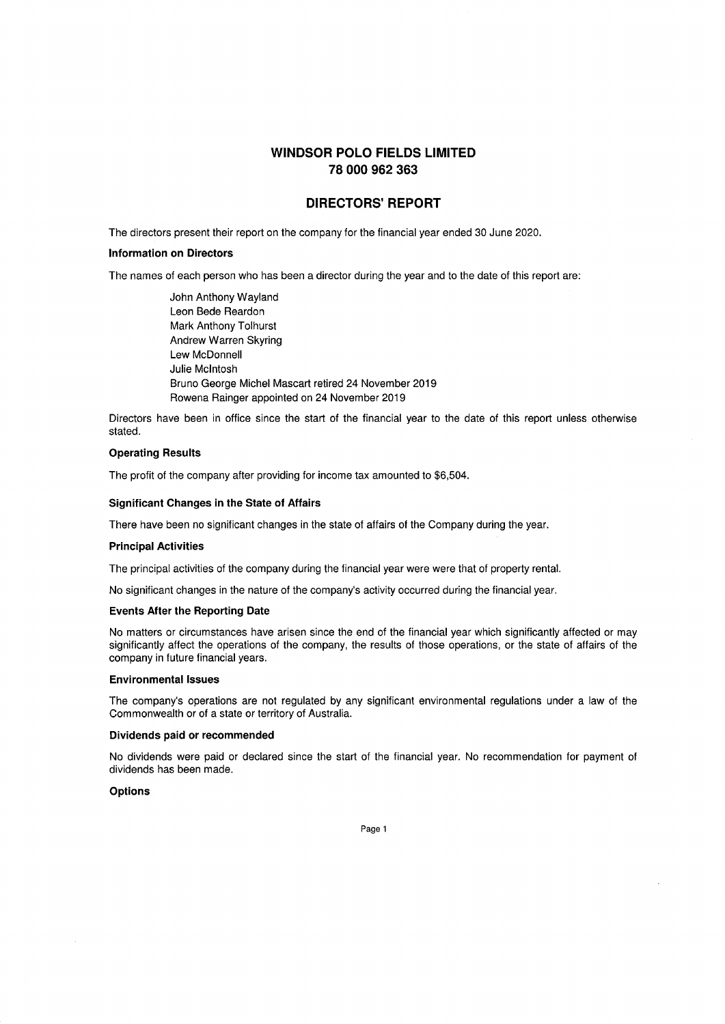### **DIRECTORS' REPORT**

The directors present their report on the company for the financial year ended 30 June 2020.

#### **Information on Directors**

The names of each person who has been a director during the year and to the date of this report are:

John Anthony Wayland Leon Bede Reardon Mark Anthony Tolhurst Andrew Warren Skyring Lew McDonnell Julie McIntosh Bruno George Michel Mascart retired 24 November 2019 Rowena Rainger appointed on 24 November 2019

Directors have been in office since the start of the financial year to the date of this report unless otherwise stated.

### **Operating Results**

The profit of the company after providing for income tax amounted to \$6,504.

#### **Significant Changes in the State of Affairs**

There have been no significant changes in the state of affairs of the Company during the year.

#### **Principal Activities**

The principal activities of the company during the financial year were were that of property rental.

No significant changes in the nature of the company's activity occurred during the financial year.

#### **Events After the Reporting Date**

No matters or circumstances have arisen since the end of the financial year which significantly affected or may significantly affect the operations of the company, the results of those operations, or the state of affairs of the company in future financial years.

#### **Environmental Issues**

The company's operations are not regulated by any significant environmental regulations under a law of the Commonwealth or of a state or territory of Australia.

### **Dividends paid or recommended**

No dividends were paid or declared since the start of the financial year. No recommendation for payment of dividends has been made.

### **Options**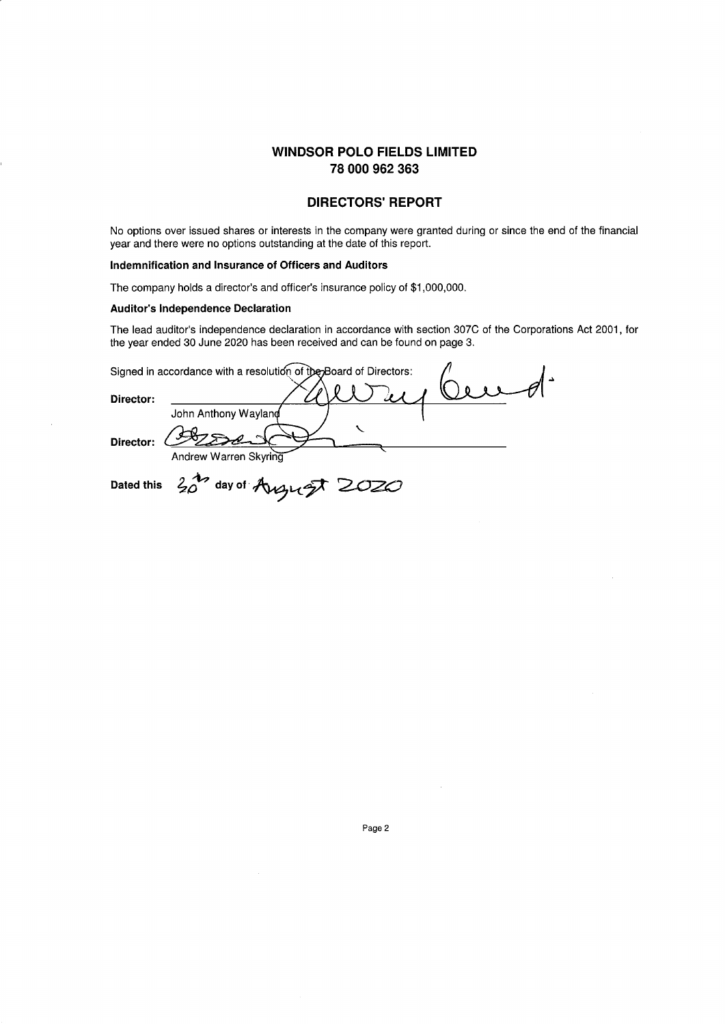### **DIRECTORS' REPORT**

No options over issued shares or interests in the company were granted during or since the end of the financial year and there were no options outstanding at the date of this report.

### **Indemnification and Insurance of Officers and Auditors**

The company holds a director's and officer's insurance policy of \$1,000,000.

#### **Auditor's Independence Declaration**

The lead auditor's independence declaration in accordance with section 307C of the Corporations Act 2001, for the year ended 30 June 2020 has been received and can be found on page 3.

|           | Signed in accordance with a resolution of the Board of Directors: |
|-----------|-------------------------------------------------------------------|
| Director: | John Anthony Wayland                                              |
| Director: | Andrew Warren Skyring                                             |
|           | Dated this $20$ day of August 2020                                |

 $\alpha$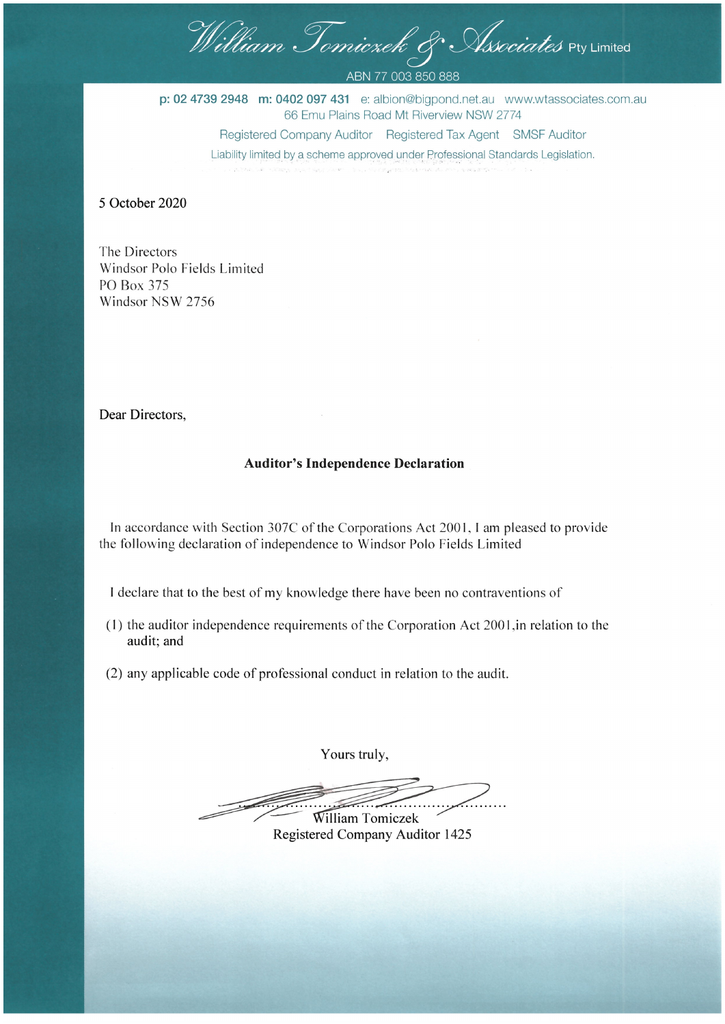William Tomicrek & Associates Pty Limited

ABN 77 003 850 888

p: 02 4739 2948 m: 0402 097 431 e: albion@bigpond.net.au www.wtassociates.com.au 66 Emu Plains Road Mt Riverview NSW 2774 Registered Company Auditor Registered Tax Agent SMSF Auditor Liability limited by a scheme approved under Professional Standards Legislation.

5 October 2020

The Directors Windsor Polo Fields Limited PO Box 375 Windsor NSW 2756

Dear Directors,

### **Auditor's Independence Declaration**

In accordance with Section 307C of the Corporations Act 2001, I am pleased to provide the following declaration of independence to Windsor Polo Fields Limited

I declare that to the best of my knowledge there have been no contraventions of

- (1) the auditor independence requirements of the Corporation Act 2001, in relation to the audit; and
- (2) any applicable code of professional conduct in relation to the audit.

Yours truly,

William Tomiczek Registered Company Auditor 1425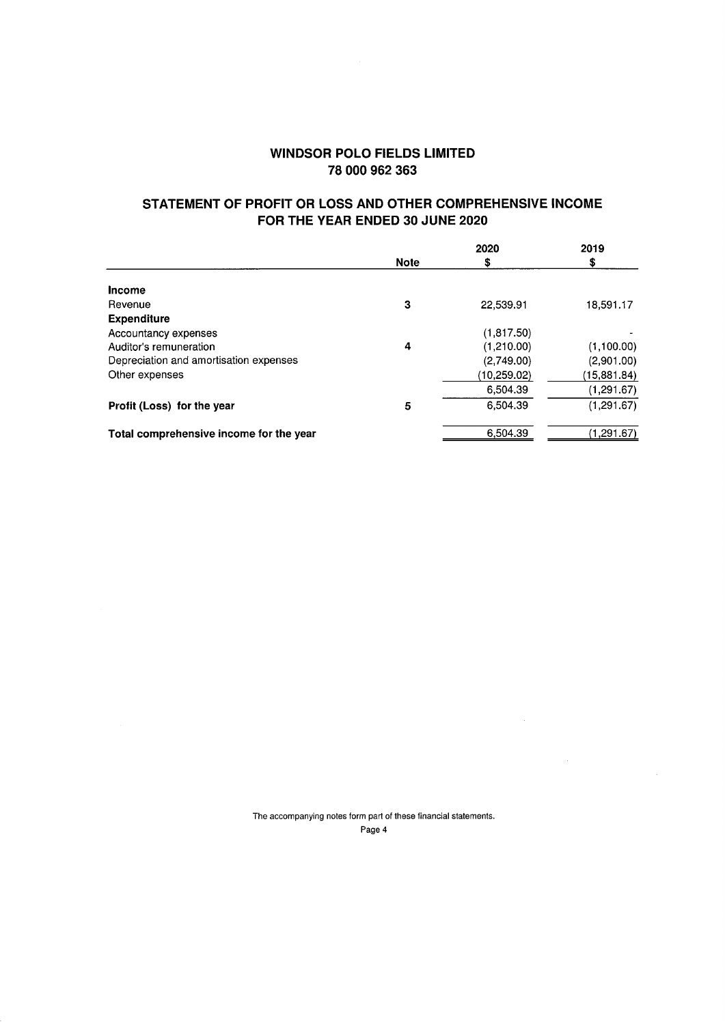## **STATEMENT OF PROFIT OR LOSS AND OTHER COMPREHENSIVE INCOME FOR THE YEAR ENDED 30 JUNE 2020**

|                                         |             | 2020        | 2019        |
|-----------------------------------------|-------------|-------------|-------------|
|                                         | <b>Note</b> | s           | \$          |
| <b>Income</b>                           |             |             |             |
| Revenue                                 | 3           | 22.539.91   | 18,591.17   |
| <b>Expenditure</b>                      |             |             |             |
| Accountancy expenses                    |             | (1,817.50)  |             |
| Auditor's remuneration                  | 4           | (1,210.00)  | (1,100.00)  |
| Depreciation and amortisation expenses  |             | (2,749.00)  | (2,901.00)  |
| Other expenses                          |             | (10.259.02) | (15,881.84) |
|                                         |             | 6,504.39    | (1, 291.67) |
| Profit (Loss) for the year              | 5           | 6,504.39    | (1, 291.67) |
| Total comprehensive income for the year |             | 6,504.39    | (1,291.67)  |

The accompanying notes form part of these financial statements. Page 4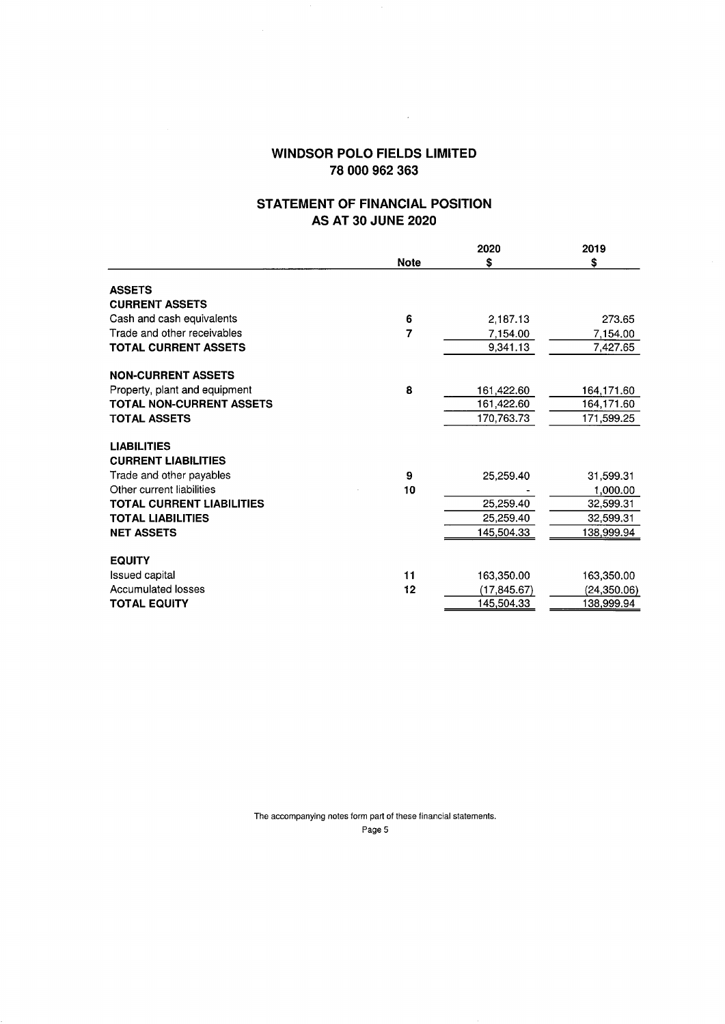$\mathcal{L}^{\text{max}}_{\text{max}}$  and  $\mathcal{L}^{\text{max}}_{\text{max}}$ 

## **STATEMENT OF FINANCIAL POSITION AS AT 30 JUNE 2020**

|                                  |             | 2020         | 2019        |
|----------------------------------|-------------|--------------|-------------|
|                                  | <b>Note</b> | \$           | \$          |
| <b>ASSETS</b>                    |             |              |             |
| <b>CURRENT ASSETS</b>            |             |              |             |
| Cash and cash equivalents        | 6           | 2,187.13     | 273.65      |
| Trade and other receivables      | 7           | 7,154.00     | 7,154.00    |
| <b>TOTAL CURRENT ASSETS</b>      |             | 9,341.13     | 7,427.65    |
| <b>NON-CURRENT ASSETS</b>        |             |              |             |
| Property, plant and equipment    | 8           | 161,422.60   | 164,171.60  |
| <b>TOTAL NON-CURRENT ASSETS</b>  |             | 161,422.60   | 164,171.60  |
| <b>TOTAL ASSETS</b>              |             | 170,763.73   | 171,599.25  |
| <b>LIABILITIES</b>               |             |              |             |
| <b>CURRENT LIABILITIES</b>       |             |              |             |
| Trade and other payables         | 9           | 25,259.40    | 31,599.31   |
| Other current liabilities        | 10          |              | 1,000.00    |
| <b>TOTAL CURRENT LIABILITIES</b> |             | 25,259.40    | 32,599.31   |
| <b>TOTAL LIABILITIES</b>         |             | 25,259.40    | 32,599.31   |
| <b>NET ASSETS</b>                |             | 145,504.33   | 138,999.94  |
| <b>EQUITY</b>                    |             |              |             |
| <b>Issued capital</b>            | 11          | 163,350.00   | 163,350.00  |
| <b>Accumulated losses</b>        | 12          | (17, 845.67) | (24,350.06) |
| <b>TOTAL EQUITY</b>              |             | 145,504.33   | 138,999.94  |

The accompanying notes form part of these financial statements. Page 5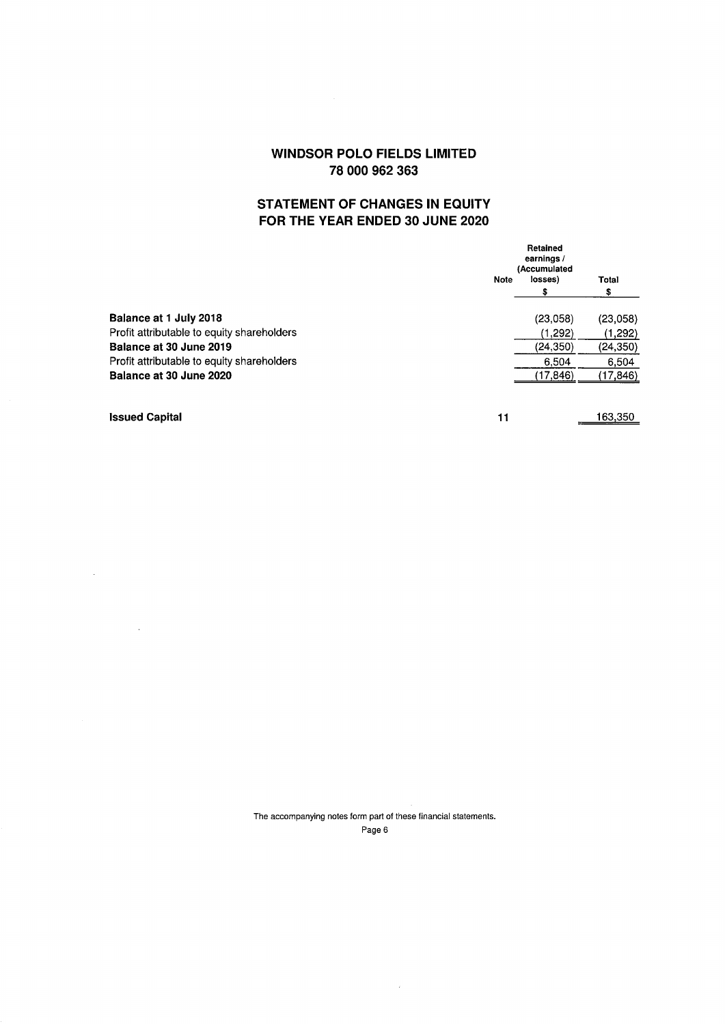# **STATEMENT OF CHANGES IN EQUITY FOR THE YEAR ENDED 30 JUNE 2020**

| Retained<br>earnings/<br>(Accumulated |             |             |
|---------------------------------------|-------------|-------------|
|                                       |             | Total<br>\$ |
|                                       | (23,058)    | (23,058)    |
|                                       | (1,292)     | (1,292)     |
|                                       | (24, 350)   | (24, 350)   |
|                                       | 6.504       | 6,504       |
|                                       | (17,846)    | (17,846)    |
|                                       | <b>Note</b> | losses)     |

 $\sim 10^{-11}$ 

 $\sim$ 

**Issued Capital** 11 163,350

The accompanying notes form part of these financial statements. Page 6

 $\sim$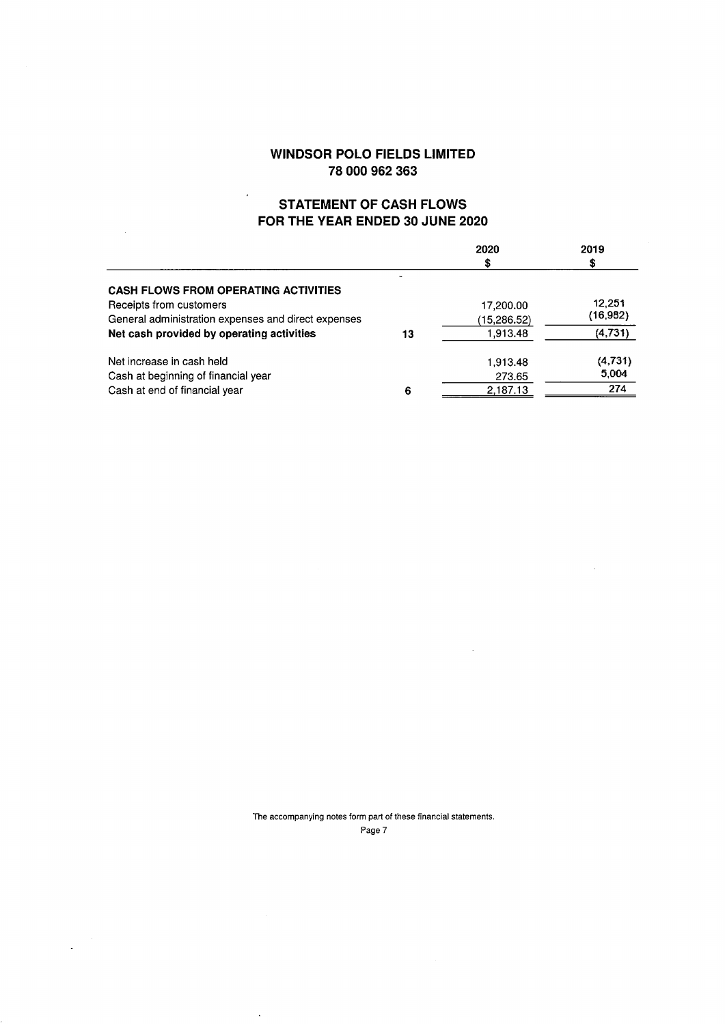# **STATEMENT OF CASH FLOWS FOR THE YEAR ENDED 30 JUNE 2020**

 $\ddot{\phantom{0}}$ 

 $\bar{z}$ 

|                                                     |    | 2020        | 2019     |
|-----------------------------------------------------|----|-------------|----------|
|                                                     |    |             | S        |
| <b>CASH FLOWS FROM OPERATING ACTIVITIES</b>         |    |             |          |
| Receipts from customers                             |    | 17,200.00   | 12,251   |
| General administration expenses and direct expenses |    | (15,286.52) | (16,982) |
| Net cash provided by operating activities           | 13 | 1.913.48    | (4,731)  |
| Net increase in cash held                           |    | 1,913.48    | (4,731)  |
| Cash at beginning of financial year                 |    | 273.65      | 5,004    |
| Cash at end of financial year                       | 6  | 2,187.13    | 274      |

The accompanying notes form part of these financial statements. Page 7

 $\ddot{\phantom{0}}$ 

 $\bar{\lambda}$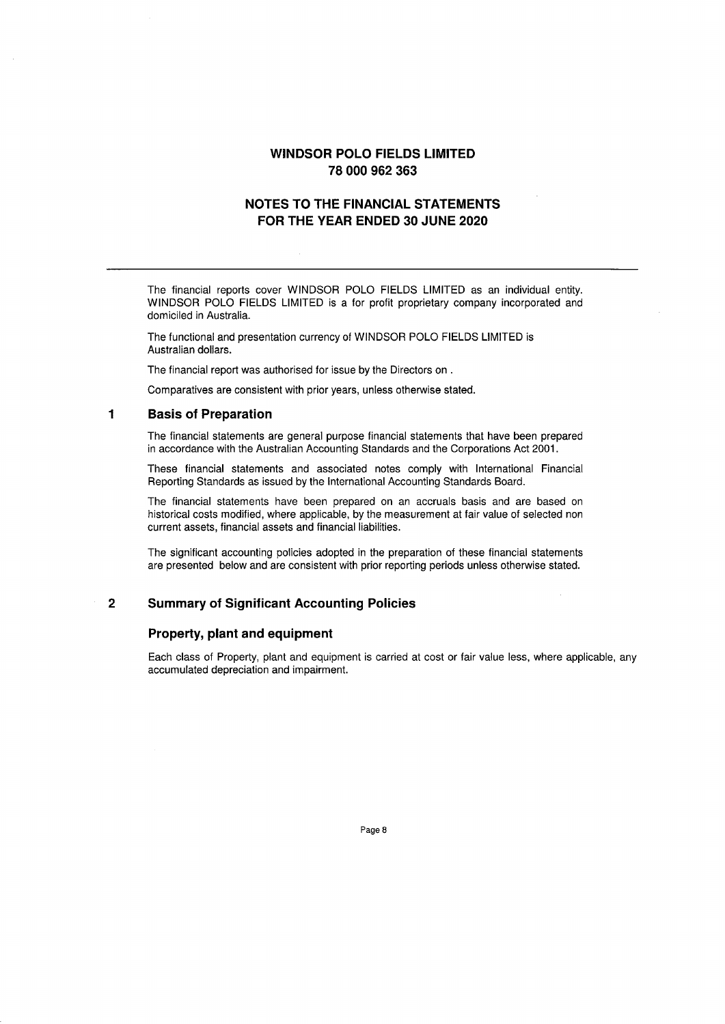## **NOTES TO THE FINANCIAL STATEMENTS FOR THE YEAR ENDED 30 JUNE 2020**

The financial reports cover WINDSOR POLO FIELDS LIMITED as an individual entity. WINDSOR POLO FIELDS LIMITED is a for profit proprietary company incorporated and domiciled in Australia.

The functional and presentation currency of WINDSOR POLO FIELDS LIMITED is Australian dollars.

The financial report was authorised for issue by the Directors on .

Comparatives are consistent with prior years, unless otherwise stated.

### **1 Basis of Preparation**

The financial statements are general purpose financial statements that have been prepared in accordance with the Australian Accounting Standards and the Corporations Act 2001.

These financial statements and associated notes comply with International Financial Reporting Standards as issued by the International Accounting Standards Board.

The financial statements have been prepared on an accruals basis and are based on historical costs modified, where applicable, by the measurement at fair value of selected non current assets, financial assets and financial liabilities.

The significant accounting policies adopted in the preparation of these financial statements are presented below and are consistent with prior reporting periods unless otherwise stated.

### **2 Summary of Significant Accounting Policies**

### **Property, plant and equipment**

Each class of Property, plant and equipment is carried at cost or fair value less, where applicable, any accumulated depreciation and impairment.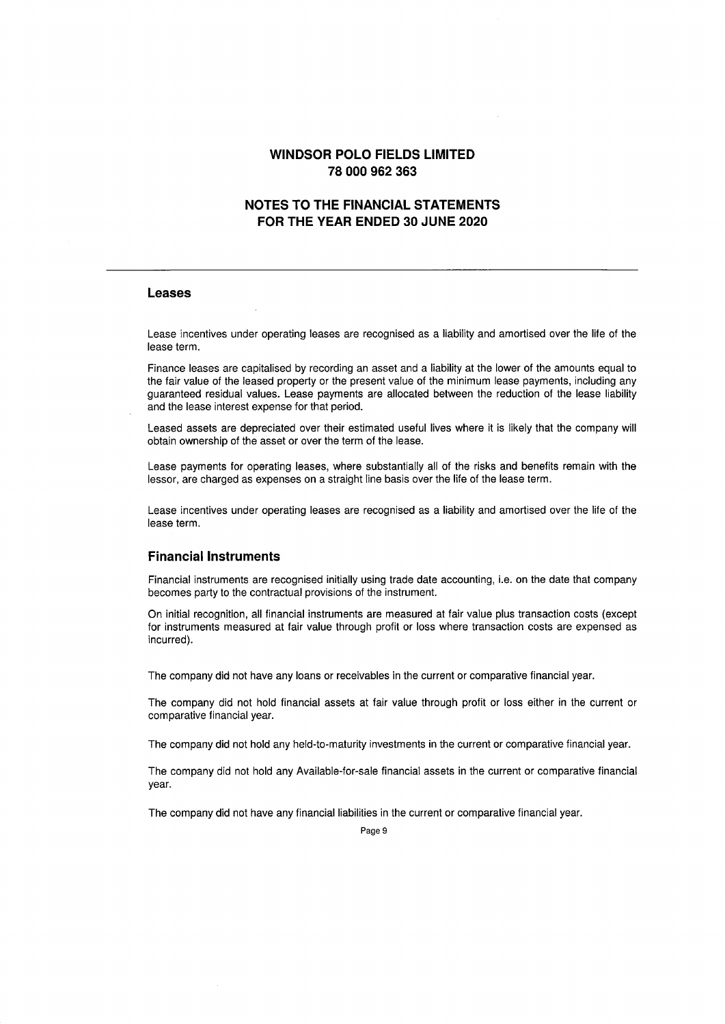## **NOTES TO THE FINANCIAL STATEMENTS FOR THE YEAR ENDED 30 JUNE 2020**

### **Leases**

Lease incentives under operating leases are recognised as a liability and amortised over the life of the lease term.

Finance leases are capitalised by recording an asset and a liability at the lower of the amounts equal to the fair value of the leased property or the present value of the minimum lease payments, including any guaranteed residual values. Lease payments are allocated between the reduction of the lease liability and the lease interest expense for that period.

Leased assets are depreciated over their estimated useful lives where it is likely that the company will obtain ownership of the asset or over the term of the lease.

Lease payments for operating leases, where substantially all of the risks and benefits remain with the lessor, are charged as expenses on a straight line basis over the life of the lease term.

Lease incentives under operating leases are recognised as a liability and amortised over the life of the lease term.

### **Financial Instruments**

Financial instruments are recognised initially using trade date accounting, i.e. on the date that company becomes party to the contractual provisions of the instrument.

On initial recognition, all financial instruments are measured at fair value plus transaction costs (except for instruments measured at fair value through profit or loss where transaction costs are expensed as incurred).

The company did not have any loans or receivables in the current or comparative financial year.

The company did not hold financial assets at fair value through profit or loss either in the current or comparative financial year.

The company did not hold any held-to-maturity investments in the current or comparative financial year.

The company did not hold any Available-for-sale financial assets in the current or comparative financial year.

The company did not have any financial liabilities in the current or comparative financial year.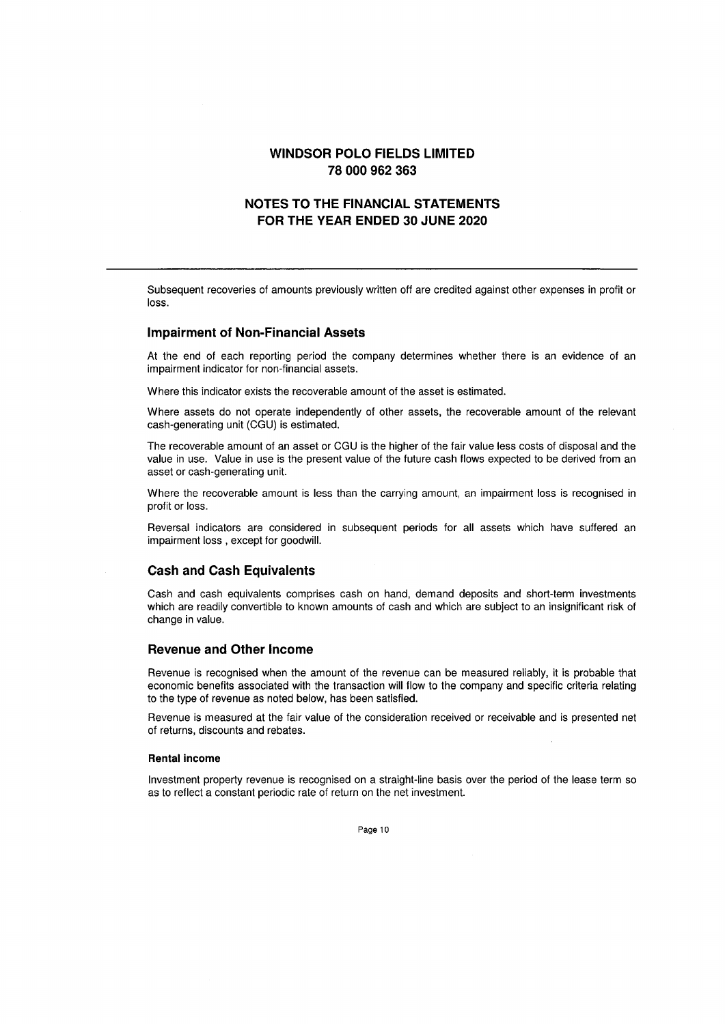## **NOTES TO THE FINANCIAL STATEMENTS FOR THE YEAR ENDED 30 JUNE 2020**

Subsequent recoveries of amounts previously written off are credited against other expenses in profit or loss.

#### **Impairment of Non-Financial Assets**

At the end of each reporting period the company determines whether there is an evidence of an impairment indicator for non-financial assets.

Where this indicator exists the recoverable amount of the asset is estimated.

Where assets do not operate independently of other assets, the recoverable amount of the relevant cash-generating unit (CGU) is estimated.

The recoverable amount of an asset or CGU is the higher of the fair value less costs of disposal and the value in use. Value in use is the present value of the future cash flows expected to be derived from an asset or cash-generating unit.

Where the recoverable amount is less than the carrying amount, an impairment loss is recognised in profit or loss.

Reversal indicators are considered in subsequent periods for all assets which have suffered an impairment loss , except for goodwill.

### **Cash and Cash Equivalents**

Cash and cash equivalents comprises cash on hand, demand deposits and short-term investments which are readily convertible to known amounts of cash and which are subject to an insignificant risk of change in value.

#### **Revenue and Other Income**

Revenue is recognised when the amount of the revenue can be measured reliably, it is probable that economic benefits associated with the transaction will flow to the company and specific criteria relating to the type of revenue as noted below, has been satisfied.

Revenue is measured at the fair value of the consideration received or receivable and is presented net of returns, discounts and rebates.

#### **Rental income**

Investment property revenue is recognised on a straight-line basis over the period of the lease term so as to reflect a constant periodic rate of return on the net investment.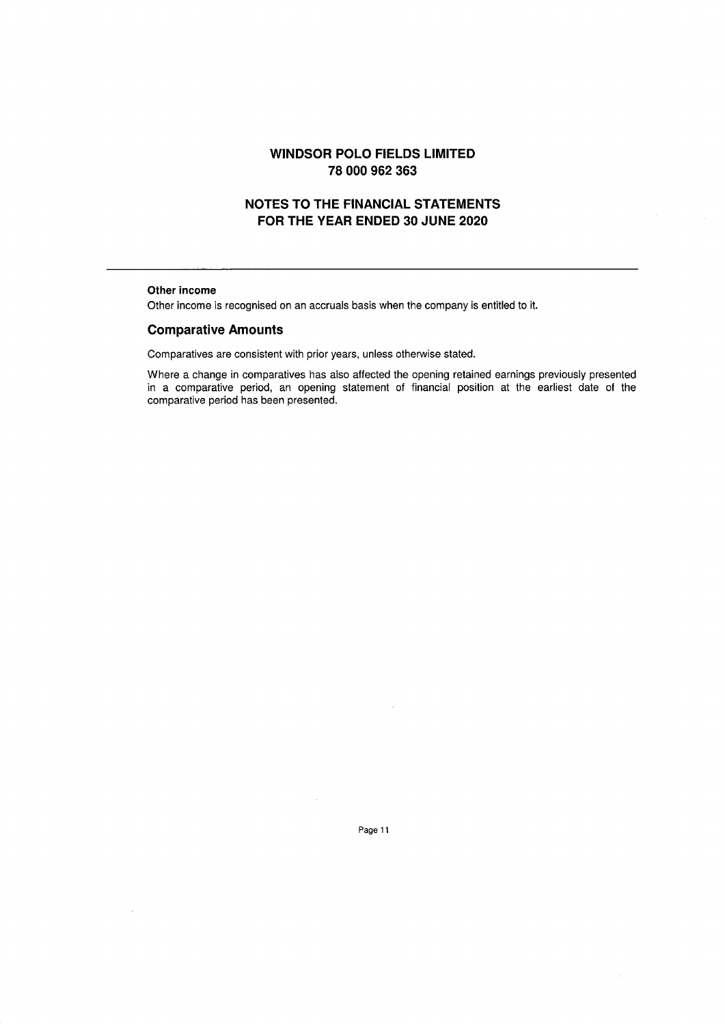# **NOTES TO THE FINANCIAL STATEMENTS FOR THE YEAR ENDED 30 JUNE 2020**

### **Other income**

Other income is recognised on an accruals basis when the company is entitled to it.

### **Comparative Amounts**

Comparatives are consistent with prior years, unless otherwise stated.

Where a change in comparatives has also affected the opening retained earnings previously presented in a comparative period, an opening statement of financial position at the earliest date of the comparative period has been presented.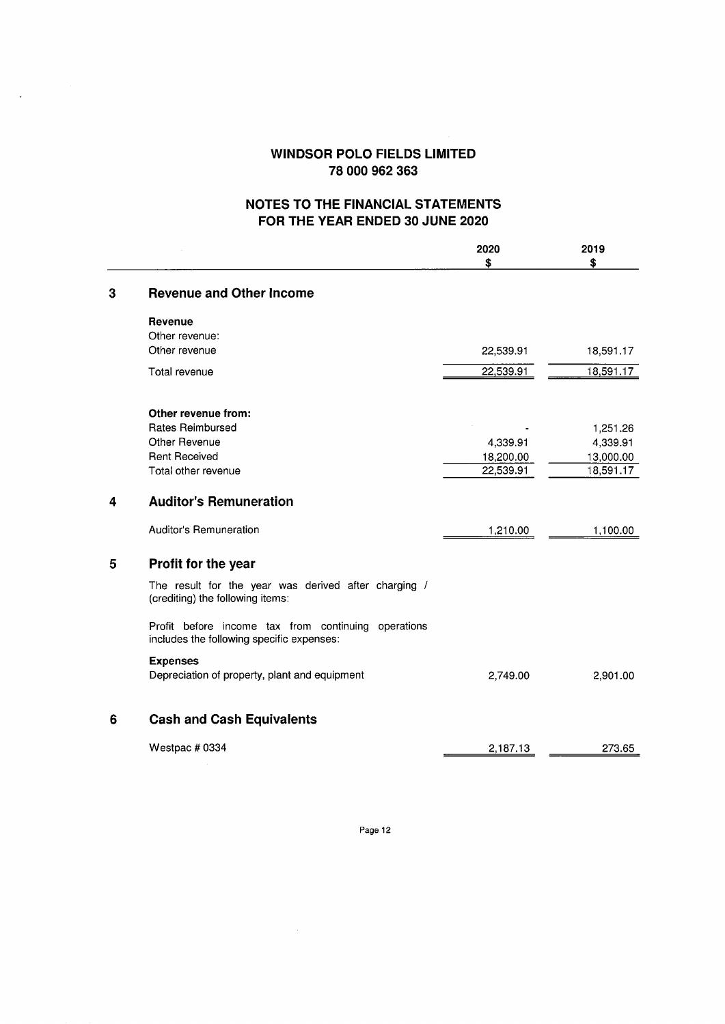$\ddot{\phantom{a}}$ 

# **NOTES TO THE FINANCIAL STATEMENTS FOR THE YEAR ENDED 30 JUNE 2020**

|   |                                                                                                  | 2020<br>\$ | 2019<br>Ŝ |
|---|--------------------------------------------------------------------------------------------------|------------|-----------|
| 3 | <b>Revenue and Other Income</b>                                                                  |            |           |
|   | Revenue<br>Other revenue:                                                                        |            |           |
|   | Other revenue                                                                                    | 22,539.91  | 18,591.17 |
|   | Total revenue                                                                                    | 22,539.91  | 18,591.17 |
|   | Other revenue from:                                                                              |            |           |
|   | <b>Rates Reimbursed</b>                                                                          |            | 1,251.26  |
|   | Other Revenue                                                                                    | 4,339.91   | 4,339.91  |
|   | <b>Rent Received</b>                                                                             | 18,200.00  | 13,000.00 |
|   | Total other revenue                                                                              | 22,539.91  | 18,591.17 |
| 4 | <b>Auditor's Remuneration</b>                                                                    |            |           |
|   | <b>Auditor's Remuneration</b>                                                                    | 1,210.00   | 1,100.00  |
| 5 | Profit for the year                                                                              |            |           |
|   | The result for the year was derived after charging /<br>(crediting) the following items:         |            |           |
|   | Profit before income tax from continuing operations<br>includes the following specific expenses: |            |           |
|   | <b>Expenses</b><br>Depreciation of property, plant and equipment                                 |            |           |
|   |                                                                                                  | 2,749.00   | 2,901.00  |
| 6 | <b>Cash and Cash Equivalents</b>                                                                 |            |           |
|   | Westpac # 0334                                                                                   | 2,187.13   | 273.65    |
|   |                                                                                                  |            |           |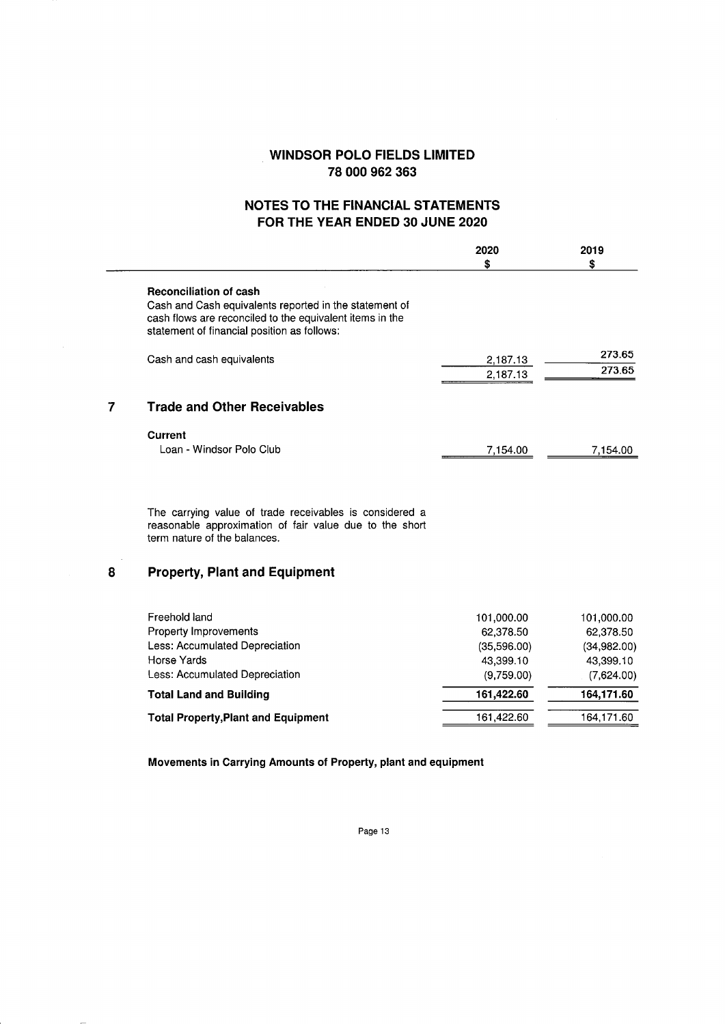# **NOTES TO THE FINANCIAL STATEMENTS FOR THE YEAR ENDED 30 JUNE 2020**

 $\overline{a}$ 

|   |                                                                                                                                                                                                    | 2020<br>\$                                                        | 2019<br>\$                                                        |
|---|----------------------------------------------------------------------------------------------------------------------------------------------------------------------------------------------------|-------------------------------------------------------------------|-------------------------------------------------------------------|
|   | <b>Reconciliation of cash</b><br>Cash and Cash equivalents reported in the statement of<br>cash flows are reconciled to the equivalent items in the<br>statement of financial position as follows: |                                                                   |                                                                   |
|   | Cash and cash equivalents                                                                                                                                                                          | 2,187.13<br>2,187.13                                              | 273.65<br>273.65                                                  |
| 7 | <b>Trade and Other Receivables</b>                                                                                                                                                                 |                                                                   |                                                                   |
|   | Current<br>Loan - Windsor Polo Club                                                                                                                                                                | 7,154.00                                                          | 7,154.00                                                          |
|   | The carrying value of trade receivables is considered a<br>reasonable approximation of fair value due to the short<br>term nature of the balances.                                                 |                                                                   |                                                                   |
| 8 | <b>Property, Plant and Equipment</b>                                                                                                                                                               |                                                                   |                                                                   |
|   | Freehold land<br>Property Improvements<br>Less: Accumulated Depreciation<br>Horse Yards<br>Less: Accumulated Depreciation                                                                          | 101,000.00<br>62,378.50<br>(35,596.00)<br>43,399.10<br>(9,759.00) | 101,000.00<br>62,378.50<br>(34,982.00)<br>43.399.10<br>(7,624.00) |

**Total Land and Building 161,422.60 164,171.60 Total Property, Plant and Equipment 161,422.60** 164,171.60

**Movements in Carrying Amounts of Property, plant and equipment**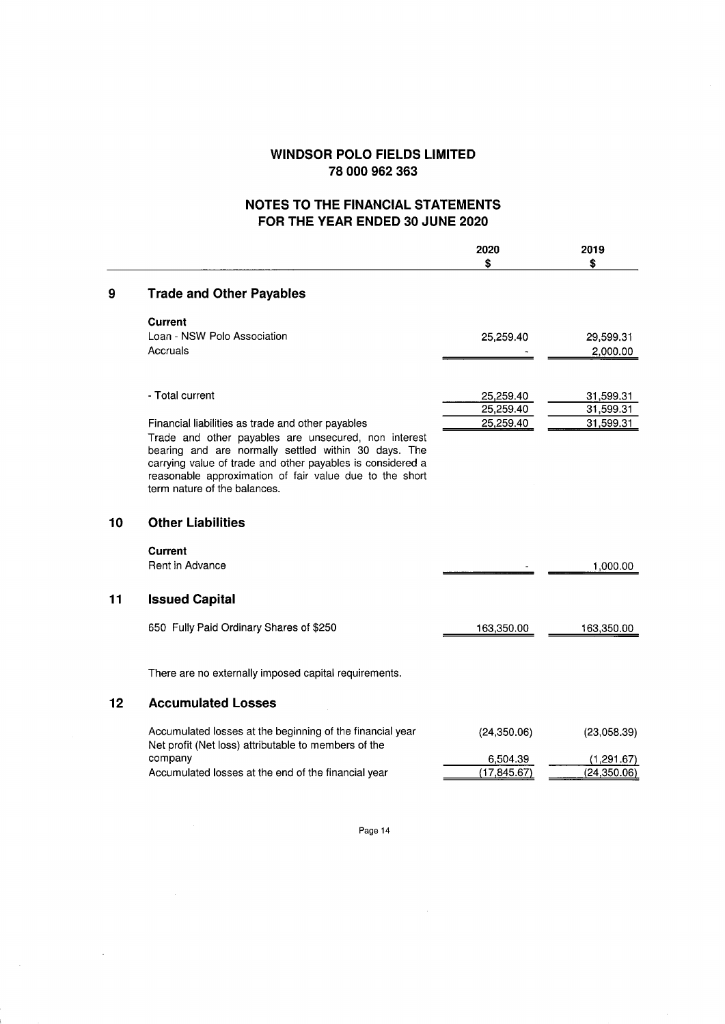# **NOTES TO THE FINANCIAL STATEMENTS FOR THE YEAR ENDED 30 JUNE 2020**

|    |                                                                                                                                                                                                                                                                                                                            | 2020<br>\$             | 2019<br>\$             |
|----|----------------------------------------------------------------------------------------------------------------------------------------------------------------------------------------------------------------------------------------------------------------------------------------------------------------------------|------------------------|------------------------|
| 9  | <b>Trade and Other Payables</b>                                                                                                                                                                                                                                                                                            |                        |                        |
|    | Current                                                                                                                                                                                                                                                                                                                    |                        |                        |
|    | Loan - NSW Polo Association                                                                                                                                                                                                                                                                                                | 25,259.40              | 29,599.31              |
|    | Accruals                                                                                                                                                                                                                                                                                                                   |                        | 2,000.00               |
|    |                                                                                                                                                                                                                                                                                                                            |                        |                        |
|    | - Total current                                                                                                                                                                                                                                                                                                            | 25,259.40              | 31,599.31              |
|    |                                                                                                                                                                                                                                                                                                                            | 25,259.40<br>25,259.40 | 31,599.31<br>31,599.31 |
|    | Financial liabilities as trade and other payables<br>Trade and other payables are unsecured, non interest<br>bearing and are normally settled within 30 days. The<br>carrying value of trade and other payables is considered a<br>reasonable approximation of fair value due to the short<br>term nature of the balances. |                        |                        |
| 10 | <b>Other Liabilities</b>                                                                                                                                                                                                                                                                                                   |                        |                        |
|    | <b>Current</b><br>Rent in Advance                                                                                                                                                                                                                                                                                          |                        | 1,000.00               |
| 11 | <b>Issued Capital</b>                                                                                                                                                                                                                                                                                                      |                        |                        |
|    | 650 Fully Paid Ordinary Shares of \$250                                                                                                                                                                                                                                                                                    | 163,350.00             | 163,350.00             |
|    | There are no externally imposed capital requirements.                                                                                                                                                                                                                                                                      |                        |                        |
| 12 | <b>Accumulated Losses</b>                                                                                                                                                                                                                                                                                                  |                        |                        |
|    | Accumulated losses at the beginning of the financial year<br>Net profit (Net loss) attributable to members of the                                                                                                                                                                                                          | (24, 350.06)           | (23,058.39)            |
|    | company                                                                                                                                                                                                                                                                                                                    | 6,504.39               | (1, 291.67)            |
|    | Accumulated losses at the end of the financial year                                                                                                                                                                                                                                                                        | (17, 845.67)           | (24, 350.06)           |
|    |                                                                                                                                                                                                                                                                                                                            |                        |                        |

Page 14

 $\bar{z}$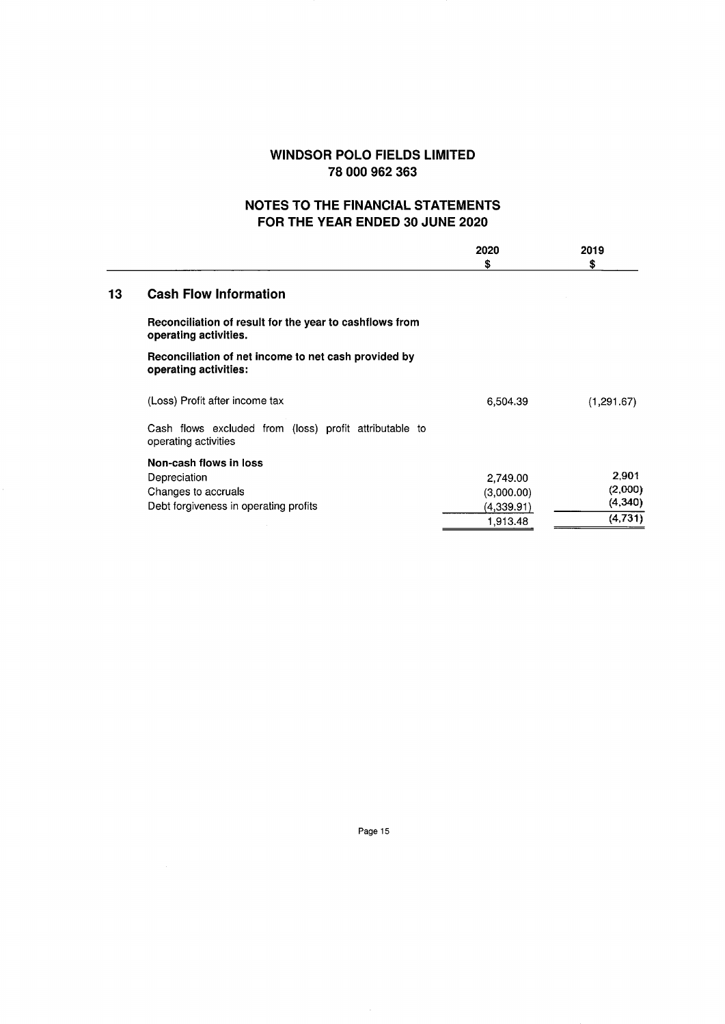# **NOTES TO THE FINANCIAL STATEMENTS FOR THE YEAR ENDED 30 JUNE 2020**

|    |                                                                                  | 2020       | 2019       |
|----|----------------------------------------------------------------------------------|------------|------------|
|    |                                                                                  | \$         | \$         |
| 13 | <b>Cash Flow Information</b>                                                     |            |            |
|    | Reconciliation of result for the year to cashflows from<br>operating activities. |            |            |
|    | Reconciliation of net income to net cash provided by<br>operating activities:    |            |            |
|    | (Loss) Profit after income tax                                                   | 6,504.39   | (1,291.67) |
|    | Cash flows excluded from (loss) profit attributable to<br>operating activities   |            |            |
|    | Non-cash flows in loss                                                           |            |            |
|    | Depreciation                                                                     | 2,749.00   | 2,901      |
|    | Changes to accruals                                                              | (3,000.00) | (2,000)    |
|    | Debt forgiveness in operating profits                                            | (4,339.91) | (4,340)    |
|    |                                                                                  | 1,913.48   | (4, 731)   |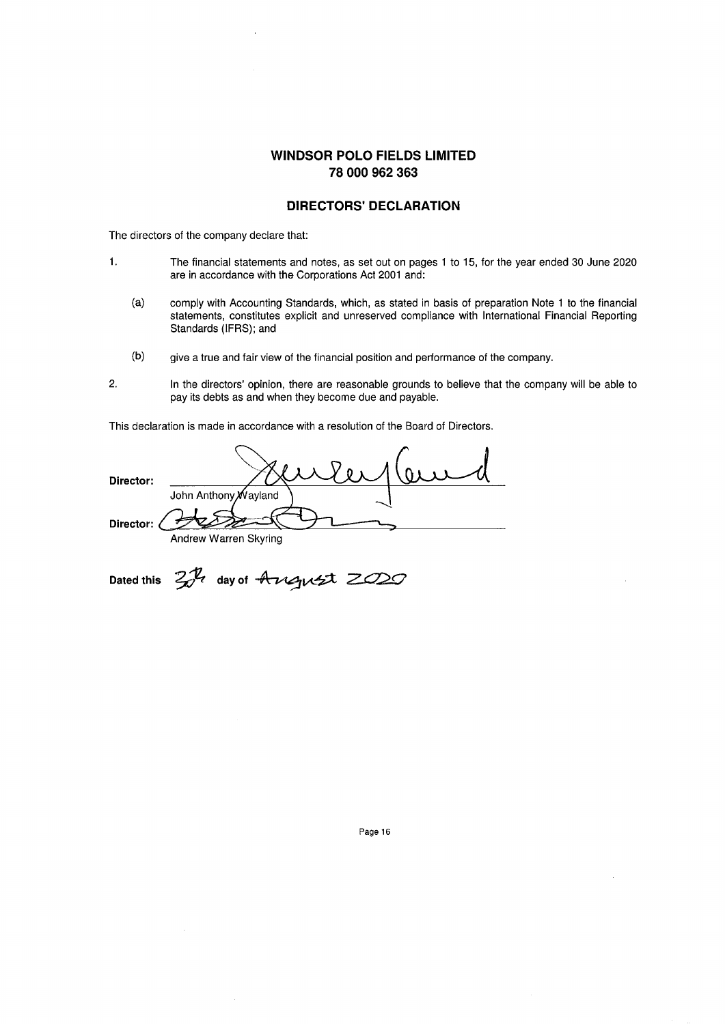### **DIRECTORS' DECLARATION**

The directors of the company declare that:

- 1. The financial statements and notes, as set out on pages 1 to 15, for the year ended 30 June 2020 are in accordance with the Corporations Act 2001 and:
	- (a) comply with Accounting Standards, which, as stated in basis of preparation Note 1 to the financial statements, constitutes explicit and unreserved compliance with International Financial Reporting Standards (IFRS); and
	- (b) give a true and fair view of the financial position and performance of the company.
- 2. In the directors' opinion, there are reasonable grounds to believe that the company will be able to pay its debts as and when they become due and payable.

This declaration is made in accordance with a resolution of the Board of Directors.

**Director:**  John Anthony Wayland **Director:**  Andrew Warren Skyring

Dated this  $2\pi$  day of August ZO20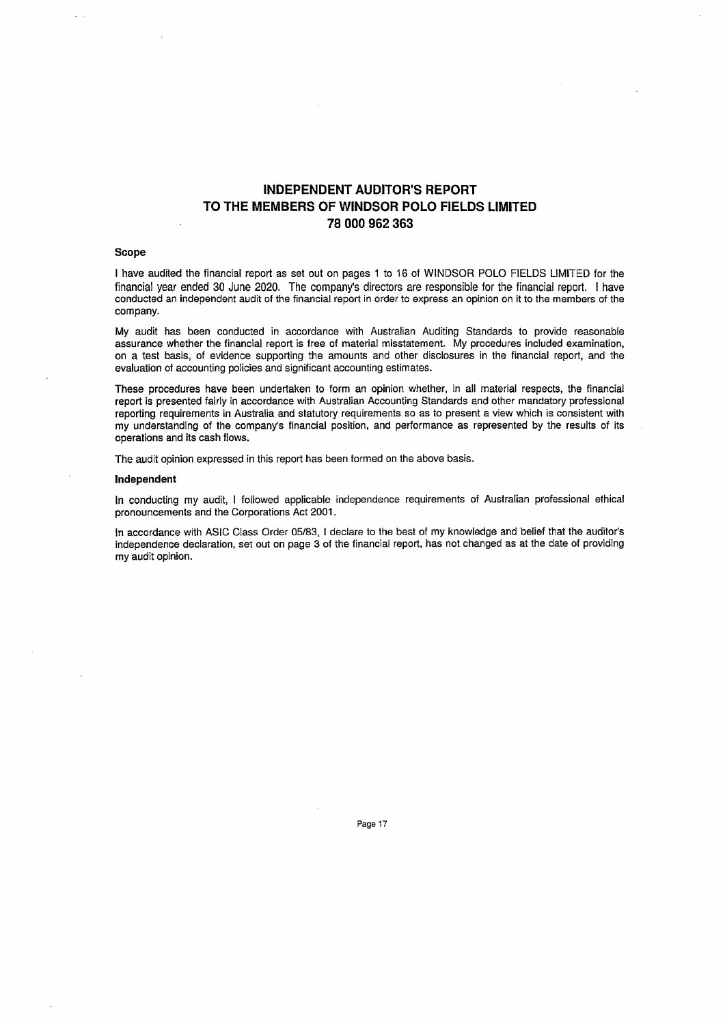## **INDEPENDENT AUDITOR'S REPORT** TO THE MEMBERS OF WINDSOR POLO FIELDS LIMITED 78 000 962 363

### Scope

I have audited the financial report as set out on pages 1 to 16 of WINDSOR POLO FIELDS LIMITED for the financial year ended 30 June 2020. The company's directors are responsible for the financial report. I have conducted an independent audit of the financial report in order to express an opinion on it to the members of the company.

My audit has been conducted in accordance with Australian Auditing Standards to provide reasonable assurance whether the financial report is free of material misstatement. My procedures included examination, on a test basis, of evidence supporting the amounts and other disclosures in the financial report, and the evaluation of accounting policies and significant accounting estimates.

These procedures have been undertaken to form an opinion whether, in all material respects, the financial report is presented fairly in accordance with Australian Accounting Standards and other mandatory professional reporting requirements in Australia and statutory requirements so as to present a view which is consistent with my understanding of the company's financial position, and performance as represented by the results of its operations and its cash flows.

The audit opinion expressed in this report has been formed on the above basis.

#### Independent

In conducting my audit, I followed applicable independence requirements of Australian professional ethical pronouncements and the Corporations Act 2001.

In accordance with ASIC Class Order 05/83, I declare to the best of my knowledge and belief that the auditor's independence declaration, set out on page 3 of the financial report, has not changed as at the date of providing my audit opinion.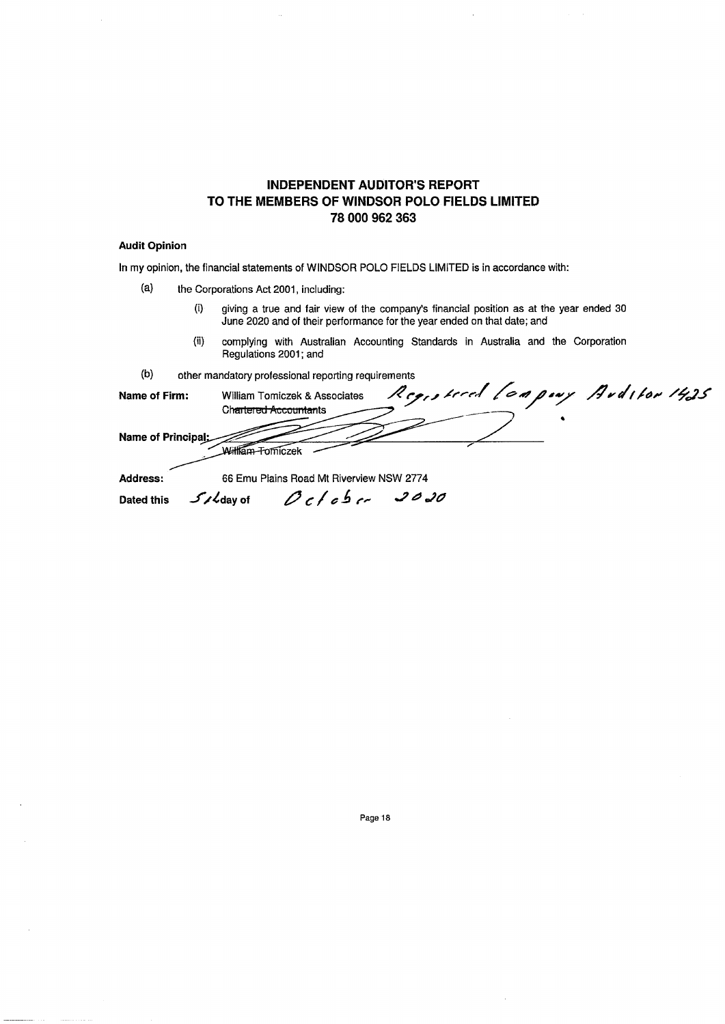## **INDEPENDENT AUDITOR'S REPORT** TO THE MEMBERS OF WINDSOR POLO FIELDS LIMITED 78 000 962 363

### **Audit Opinion**

In my opinion, the financial statements of WINDSOR POLO FIELDS LIMITED is in accordance with:

- $(a)$ the Corporations Act 2001, including:
	- giving a true and fair view of the company's financial position as at the year ended 30  $(i)$ June 2020 and of their performance for the year ended on that date; and
	- $(ii)$ complying with Australian Accounting Standards in Australia and the Corporation Regulations 2001; and
- $(b)$ other mandatory professional reporting requirements

|                   | <b>Durbi manualory professional reporting regarding its</b> |                                 |  |
|-------------------|-------------------------------------------------------------|---------------------------------|--|
| Name of Firm:     | William Tomiczek & Associates                               | Registered Leapony Arditor 1425 |  |
|                   | Ch <del>artered Accountan</del> ts                          |                                 |  |
|                   |                                                             |                                 |  |
| Name of Principal |                                                             |                                 |  |
|                   |                                                             |                                 |  |

66 Emu Plains Road Mt Riverview NSW 2774

 $S$ /Cdayot  $O$ c/cbc 2020

Address: **Dated this**